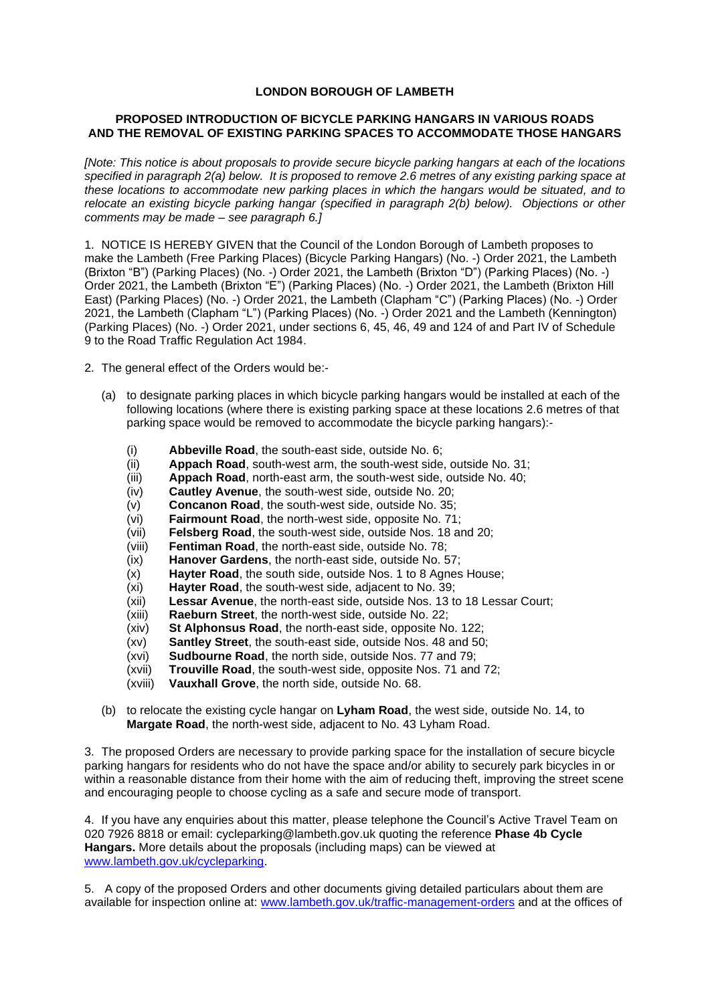## **LONDON BOROUGH OF LAMBETH**

## **PROPOSED INTRODUCTION OF BICYCLE PARKING HANGARS IN VARIOUS ROADS AND THE REMOVAL OF EXISTING PARKING SPACES TO ACCOMMODATE THOSE HANGARS**

*[Note: This notice is about proposals to provide secure bicycle parking hangars at each of the locations specified in paragraph 2(a) below. It is proposed to remove 2.6 metres of any existing parking space at these locations to accommodate new parking places in which the hangars would be situated, and to relocate an existing bicycle parking hangar (specified in paragraph 2(b) below). Objections or other comments may be made – see paragraph 6.]*

1. NOTICE IS HEREBY GIVEN that the Council of the London Borough of Lambeth proposes to make the Lambeth (Free Parking Places) (Bicycle Parking Hangars) (No. -) Order 2021, the Lambeth (Brixton "B") (Parking Places) (No. -) Order 2021, the Lambeth (Brixton "D") (Parking Places) (No. -) Order 2021, the Lambeth (Brixton "E") (Parking Places) (No. -) Order 2021, the Lambeth (Brixton Hill East) (Parking Places) (No. -) Order 2021, the Lambeth (Clapham "C") (Parking Places) (No. -) Order 2021, the Lambeth (Clapham "L") (Parking Places) (No. -) Order 2021 and the Lambeth (Kennington) (Parking Places) (No. -) Order 2021, under sections 6, 45, 46, 49 and 124 of and Part IV of Schedule 9 to the Road Traffic Regulation Act 1984.

- 2. The general effect of the Orders would be:-
	- (a) to designate parking places in which bicycle parking hangars would be installed at each of the following locations (where there is existing parking space at these locations 2.6 metres of that parking space would be removed to accommodate the bicycle parking hangars):-
		- (i) **Abbeville Road**, the south-east side, outside No. 6;
		- (ii) **Appach Road**, south-west arm, the south-west side, outside No. 31;
		- (iii) **Appach Road**, north-east arm, the south-west side, outside No. 40;
		- (iv) **Cautley Avenue**, the south-west side, outside No. 20;
		- (v) **Concanon Road**, the south-west side, outside No. 35;
		- (vi) **Fairmount Road**, the north-west side, opposite No. 71;
		- (vii) **Felsberg Road**, the south-west side, outside Nos. 18 and 20;
		- (viii) **Fentiman Road**, the north-east side, outside No. 78;
		- (ix) **Hanover Gardens**, the north-east side, outside No. 57;
		- (x) **Hayter Road**, the south side, outside Nos. 1 to 8 Agnes House;
		- (xi) **Hayter Road**, the south-west side, adjacent to No. 39;
		- (xii) **Lessar Avenue**, the north-east side, outside Nos. 13 to 18 Lessar Court;
		- (xiii) **Raeburn Street**, the north-west side, outside No. 22;
		- (xiv) **St Alphonsus Road**, the north-east side, opposite No. 122;
		- (xv) **Santley Street**, the south-east side, outside Nos. 48 and 50;
		- (xvi) **Sudbourne Road**, the north side, outside Nos. 77 and 79;
		- (xvii) **Trouville Road**, the south-west side, opposite Nos. 71 and 72;
		- (xviii) **Vauxhall Grove**, the north side, outside No. 68.
	- (b) to relocate the existing cycle hangar on **Lyham Road**, the west side, outside No. 14, to **Margate Road**, the north-west side, adjacent to No. 43 Lyham Road.

3. The proposed Orders are necessary to provide parking space for the installation of secure bicycle parking hangars for residents who do not have the space and/or ability to securely park bicycles in or within a reasonable distance from their home with the aim of reducing theft, improving the street scene and encouraging people to choose cycling as a safe and secure mode of transport.

4. If you have any enquiries about this matter, please telephone the Council's Active Travel Team on 020 7926 8818 or email: [cycleparking@lambeth.gov.uk](mailto:cycleparking@lambeth.gov.uk) quoting the reference **Phase 4b Cycle Hangars.** More details about the proposals (including maps) can be viewed at [www.lambeth.gov.uk/cycleparking.](http://www.lambeth.gov.uk/cycleparking)

5. A copy of the proposed Orders and other documents giving detailed particulars about them are available for inspection online at: [www.lambeth.gov.uk/traffic-management-orders](http://www.lambeth.gov.uk/traffic-management-orders) and at the offices of